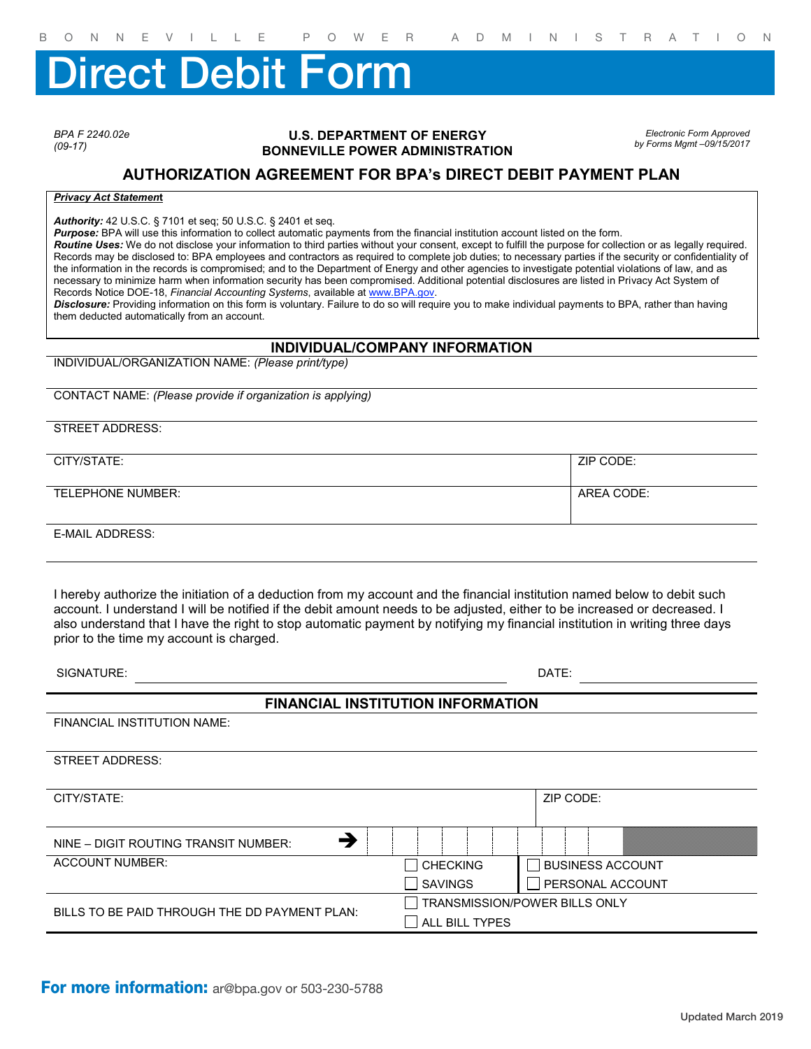# irect Debit Form

*BPA F 2240.02e (09-17)*

#### **U.S. DEPARTMENT OF ENERGY BONNEVILLE POWER ADMINISTRATION**

*Electronic Form Approved by Forms Mgmt –09/15/2017*

## **AUTHORIZATION AGREEMENT FOR BPA's DIRECT DEBIT PAYMENT PLAN**

### *Privacy Act Statemen***t**

*Authority:* 42 U.S.C. § 7101 et seq; 50 U.S.C. § 2401 et seq.

*Purpose:* BPA will use this information to collect automatic payments from the financial institution account listed on the form.

*Routine Uses:* We do not disclose your information to third parties without your consent, except to fulfill the purpose for collection or as legally required. Records may be disclosed to: BPA employees and contractors as required to complete job duties; to necessary parties if the security or confidentiality of the information in the records is compromised; and to the Department of Energy and other agencies to investigate potential violations of law, and as necessary to minimize harm when information security has been compromised. Additional potential disclosures are listed in Privacy Act System of Records Notice DOE-18, *Financial Accounting Systems*, available at www.BPA.gov.

*Disclosure:* Providing information on this form is voluntary. Failure to do so will require you to make individual payments to BPA, rather than having them deducted automatically from an account.

#### **INDIVIDUAL/COMPANY INFORMATION**

INDIVIDUAL/ORGANIZATION NAME: *(Please print/type)*

CONTACT NAME: *(Please provide if organization is applying)*

STREET ADDRESS:

CITY/STATE: ZIP CODE: TELEPHONE NUMBER: AREA CODE: AREA CODE:

E-MAIL ADDRESS:

I hereby authorize the initiation of a deduction from my account and the financial institution named below to debit such account. I understand I will be notified if the debit amount needs to be adjusted, either to be increased or decreased. I also understand that I have the right to stop automatic payment by notifying my financial institution in writing three days prior to the time my account is charged.

| SIGNATURE: | DATE: |
|------------|-------|
|            |       |

## **FINANCIAL INSTITUTION INFORMATION**

FINANCIAL INSTITUTION NAME:

STREET ADDRESS:

CITY/STATE: ZIP CODE:  $NINE - DIGIT$  ROUTING TRANSIT NUMBER: ACCOUNT NUMBER:  $\Box$  CHECKING BUSINESS ACCOUNT SAVINGS | PERSONAL ACCOUNT BILLS TO BE PAID THROUGH THE DD PAYMENT PLAN: TRANSMISSION/POWER BILLS ONLY **NU ALL BILL TYPES** 

For more information: ar@bpa.gov or 503-230-5788